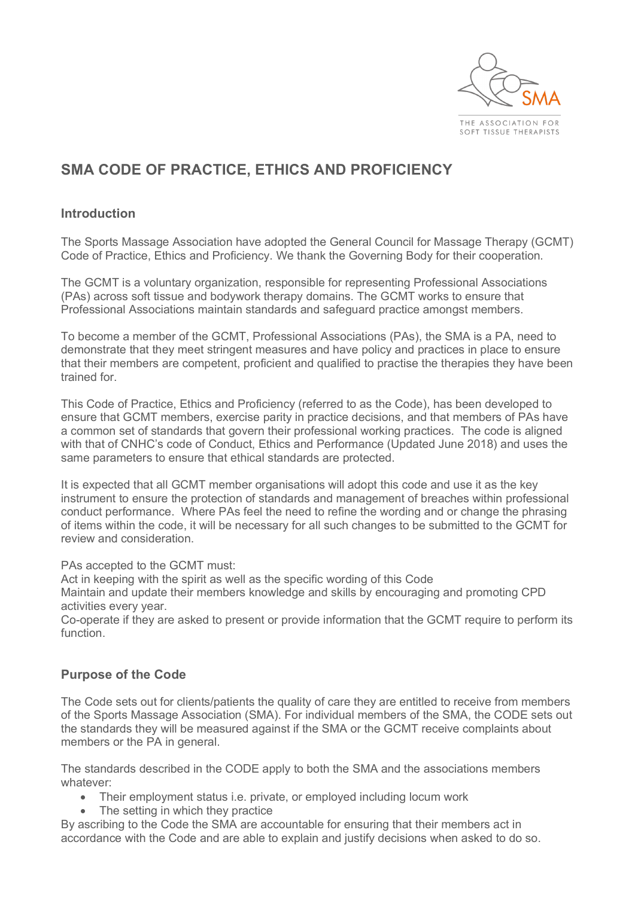

# **SMA CODE OF PRACTICE, ETHICS AND PROFICIENCY**

## **Introduction**

The Sports Massage Association have adopted the General Council for Massage Therapy (GCMT) Code of Practice, Ethics and Proficiency. We thank the Governing Body for their cooperation.

The GCMT is a voluntary organization, responsible for representing Professional Associations (PAs) across soft tissue and bodywork therapy domains. The GCMT works to ensure that Professional Associations maintain standards and safeguard practice amongst members.

To become a member of the GCMT, Professional Associations (PAs), the SMA is a PA, need to demonstrate that they meet stringent measures and have policy and practices in place to ensure that their members are competent, proficient and qualified to practise the therapies they have been trained for.

This Code of Practice, Ethics and Proficiency (referred to as the Code), has been developed to ensure that GCMT members, exercise parity in practice decisions, and that members of PAs have a common set of standards that govern their professional working practices. The code is aligned with that of CNHC's code of Conduct, Ethics and Performance (Updated June 2018) and uses the same parameters to ensure that ethical standards are protected.

It is expected that all GCMT member organisations will adopt this code and use it as the key instrument to ensure the protection of standards and management of breaches within professional conduct performance. Where PAs feel the need to refine the wording and or change the phrasing of items within the code, it will be necessary for all such changes to be submitted to the GCMT for review and consideration.

PAs accepted to the GCMT must:

Act in keeping with the spirit as well as the specific wording of this Code

Maintain and update their members knowledge and skills by encouraging and promoting CPD activities every year.

Co-operate if they are asked to present or provide information that the GCMT require to perform its function.

## **Purpose of the Code**

The Code sets out for clients/patients the quality of care they are entitled to receive from members of the Sports Massage Association (SMA). For individual members of the SMA, the CODE sets out the standards they will be measured against if the SMA or the GCMT receive complaints about members or the PA in general.

The standards described in the CODE apply to both the SMA and the associations members whatever:

- Their employment status i.e. private, or employed including locum work
- The setting in which they practice

By ascribing to the Code the SMA are accountable for ensuring that their members act in accordance with the Code and are able to explain and justify decisions when asked to do so.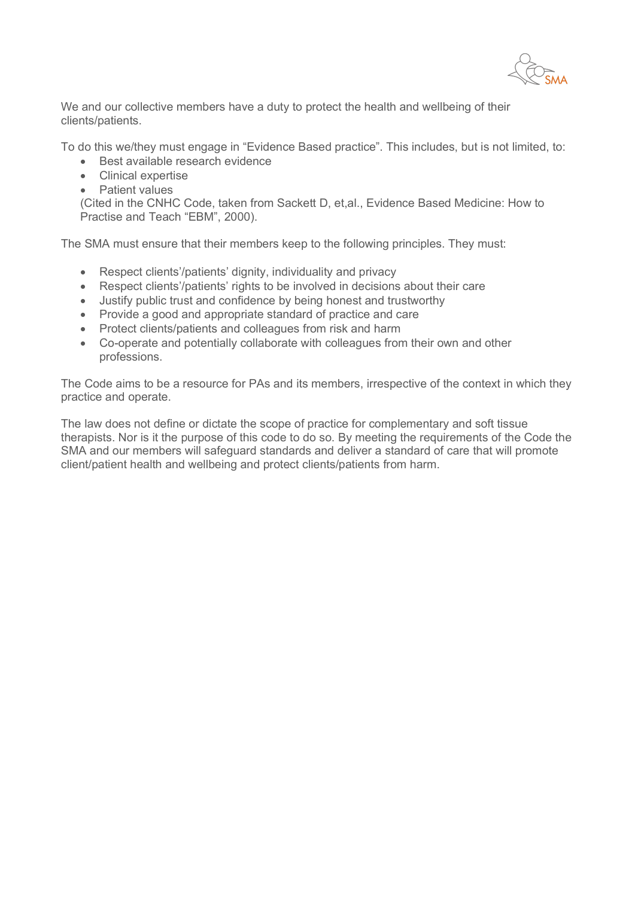We and our collective members have a duty to protect the health and wellbeing of their clients/patients.

To do this we/they must engage in "Evidence Based practice". This includes, but is not limited, to:

- Best available research evidence
- Clinical expertise
- Patient values

(Cited in the CNHC Code, taken from Sackett D, et,al., Evidence Based Medicine: How to Practise and Teach "EBM", 2000).

The SMA must ensure that their members keep to the following principles. They must:

- Respect clients'/patients' dignity, individuality and privacy
- Respect clients'/patients' rights to be involved in decisions about their care
- Justify public trust and confidence by being honest and trustworthy
- Provide a good and appropriate standard of practice and care
- Protect clients/patients and colleagues from risk and harm
- Co-operate and potentially collaborate with colleagues from their own and other professions.

The Code aims to be a resource for PAs and its members, irrespective of the context in which they practice and operate.

The law does not define or dictate the scope of practice for complementary and soft tissue therapists. Nor is it the purpose of this code to do so. By meeting the requirements of the Code the SMA and our members will safeguard standards and deliver a standard of care that will promote client/patient health and wellbeing and protect clients/patients from harm.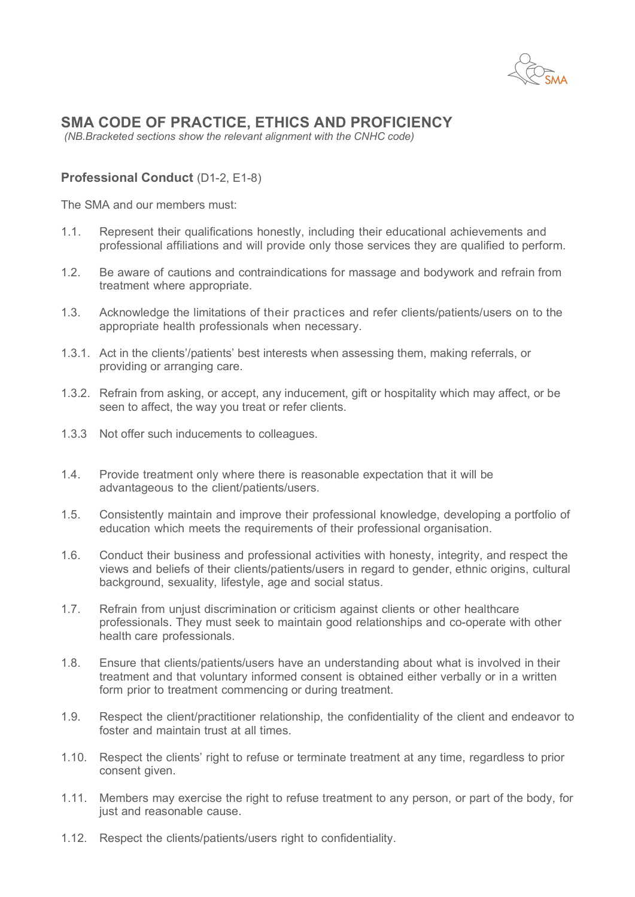

## **SMA CODE OF PRACTICE, ETHICS AND PROFICIENCY**

*(NB.Bracketed sections show the relevant alignment with the CNHC code)*

## **Professional Conduct** (D1-2, E1-8)

The SMA and our members must:

- 1.1. Represent their qualifications honestly, including their educational achievements and professional affiliations and will provide only those services they are qualified to perform.
- 1.2. Be aware of cautions and contraindications for massage and bodywork and refrain from treatment where appropriate.
- 1.3. Acknowledge the limitations of their practices and refer clients/patients/users on to the appropriate health professionals when necessary.
- 1.3.1. Act in the clients'/patients' best interests when assessing them, making referrals, or providing or arranging care.
- 1.3.2. Refrain from asking, or accept, any inducement, gift or hospitality which may affect, or be seen to affect, the way you treat or refer clients.
- 1.3.3 Not offer such inducements to colleagues.
- 1.4. Provide treatment only where there is reasonable expectation that it will be advantageous to the client/patients/users.
- 1.5. Consistently maintain and improve their professional knowledge, developing a portfolio of education which meets the requirements of their professional organisation.
- 1.6. Conduct their business and professional activities with honesty, integrity, and respect the views and beliefs of their clients/patients/users in regard to gender, ethnic origins, cultural background, sexuality, lifestyle, age and social status.
- 1.7. Refrain from unjust discrimination or criticism against clients or other healthcare professionals. They must seek to maintain good relationships and co-operate with other health care professionals.
- 1.8. Ensure that clients/patients/users have an understanding about what is involved in their treatment and that voluntary informed consent is obtained either verbally or in a written form prior to treatment commencing or during treatment.
- 1.9. Respect the client/practitioner relationship, the confidentiality of the client and endeavor to foster and maintain trust at all times.
- 1.10. Respect the clients' right to refuse or terminate treatment at any time, regardless to prior consent given.
- 1.11. Members may exercise the right to refuse treatment to any person, or part of the body, for just and reasonable cause.
- 1.12. Respect the clients/patients/users right to confidentiality.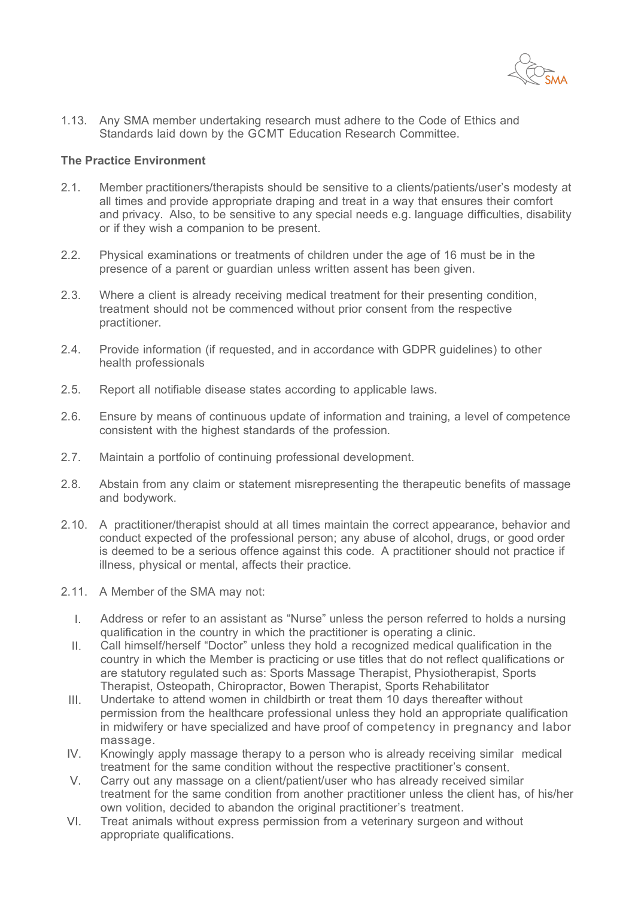

1.13. Any SMA member undertaking research must adhere to the Code of Ethics and Standards laid down by the GCMT Education Research Committee.

#### **The Practice Environment**

- 2.1. Member practitioners/therapists should be sensitive to a clients/patients/user's modesty at all times and provide appropriate draping and treat in a way that ensures their comfort and privacy. Also, to be sensitive to any special needs e.g. language difficulties, disability or if they wish a companion to be present.
- 2.2. Physical examinations or treatments of children under the age of 16 must be in the presence of a parent or guardian unless written assent has been given.
- 2.3. Where a client is already receiving medical treatment for their presenting condition, treatment should not be commenced without prior consent from the respective practitioner.
- 2.4. Provide information (if requested, and in accordance with GDPR guidelines) to other health professionals
- 2.5. Report all notifiable disease states according to applicable laws.
- 2.6. Ensure by means of continuous update of information and training, a level of competence consistent with the highest standards of the profession.
- 2.7. Maintain a portfolio of continuing professional development.
- 2.8. Abstain from any claim or statement misrepresenting the therapeutic benefits of massage and bodywork.
- 2.10. A practitioner/therapist should at all times maintain the correct appearance, behavior and conduct expected of the professional person; any abuse of alcohol, drugs, or good order is deemed to be a serious offence against this code. A practitioner should not practice if illness, physical or mental, affects their practice.
- 2.11. A Member of the SMA may not:
	- Address or refer to an assistant as "Nurse" unless the person referred to holds a nursing  $\mathbf{L}$ qualification in the country in which the practitioner is operating a clinic.
	- $\mathbf{H}_{\mathbf{r}}$ Call himself/herself "Doctor" unless they hold a recognized medical qualification in the country in which the Member is practicing or use titles that do not reflect qualifications or are statutory regulated such as: Sports Massage Therapist, Physiotherapist, Sports Therapist, Osteopath, Chiropractor, Bowen Therapist, Sports Rehabilitator
	- $III.$ Undertake to attend women in childbirth or treat them 10 days thereafter without permission from the healthcare professional unless they hold an appropriate qualification in midwifery or have specialized and have proof of competency in pregnancy and labor massage.
	- $IV_{-}$ Knowingly apply massage therapy to a person who is already receiving similar medical treatment for the same condition without the respective practitioner's
	- Carry out any massage on a client/patient/user who has already received similar V. treatment for the same condition from another practitioner unless the client has, of his/her own volition, decided to abandon the original practitioner's treatment.
- $VI.$ Treat animals without express permission from a veterinary surgeon and without appropriate qualifications.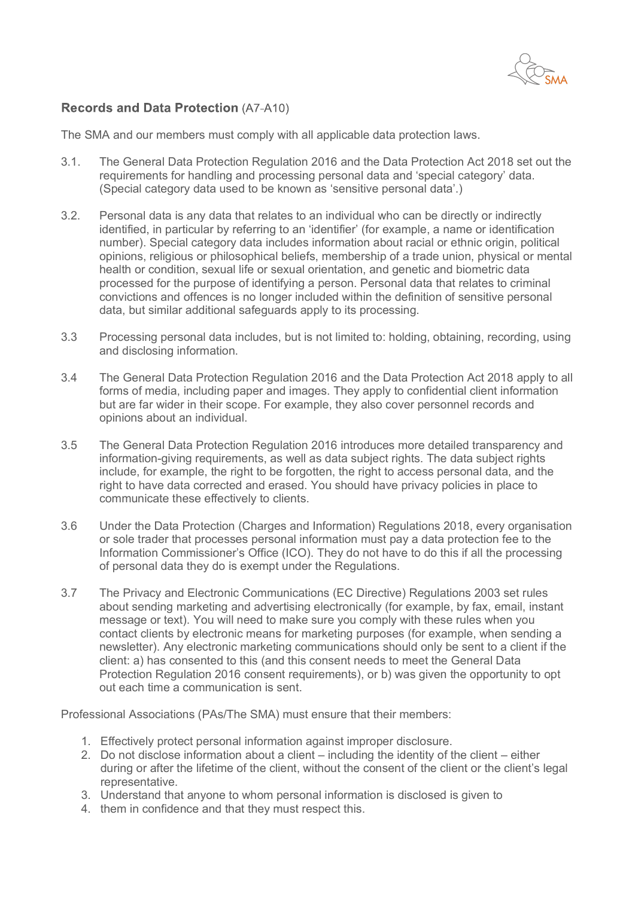

## **Records and Data Protection (A7-A10)**

The SMA and our members must comply with all applicable data protection laws.

- 3.1. The General Data Protection Regulation 2016 and the Data Protection Act 2018 set out the requirements for handling and processing personal data and 'special category' data. (Special category data used to be known as 'sensitive personal data'.)
- 3.2. Personal data is any data that relates to an individual who can be directly or indirectly identified, in particular by referring to an 'identifier' (for example, a name or identification number). Special category data includes information about racial or ethnic origin, political opinions, religious or philosophical beliefs, membership of a trade union, physical or mental health or condition, sexual life or sexual orientation, and genetic and biometric data processed for the purpose of identifying a person. Personal data that relates to criminal convictions and offences is no longer included within the definition of sensitive personal data, but similar additional safeguards apply to its processing.
- 3.3 Processing personal data includes, but is not limited to: holding, obtaining, recording, using and disclosing information.
- 3.4 The General Data Protection Regulation 2016 and the Data Protection Act 2018 apply to all forms of media, including paper and images. They apply to confidential client information but are far wider in their scope. For example, they also cover personnel records and opinions about an individual.
- 3.5 The General Data Protection Regulation 2016 introduces more detailed transparency and information-giving requirements, as well as data subject rights. The data subject rights include, for example, the right to be forgotten, the right to access personal data, and the right to have data corrected and erased. You should have privacy policies in place to communicate these effectively to clients.
- 3.6 Under the Data Protection (Charges and Information) Regulations 2018, every organisation or sole trader that processes personal information must pay a data protection fee to the Information Commissioner's Office (ICO). They do not have to do this if all the processing of personal data they do is exempt under the Regulations.
- 3.7 The Privacy and Electronic Communications (EC Directive) Regulations 2003 set rules about sending marketing and advertising electronically (for example, by fax, email, instant message or text). You will need to make sure you comply with these rules when you contact clients by electronic means for marketing purposes (for example, when sending a newsletter). Any electronic marketing communications should only be sent to a client if the client: a) has consented to this (and this consent needs to meet the General Data Protection Regulation 2016 consent requirements), or b) was given the opportunity to opt out each time a communication is sent.

Professional Associations (PAs/The SMA) must ensure that their members:

- 1. Effectively protect personal information against improper disclosure.
- 2. Do not disclose information about a client including the identity of the client either during or after the lifetime of the client, without the consent of the client or the client's legal representative.
- 3. Understand that anyone to whom personal information is disclosed is given to
- 4. them in confidence and that they must respect this.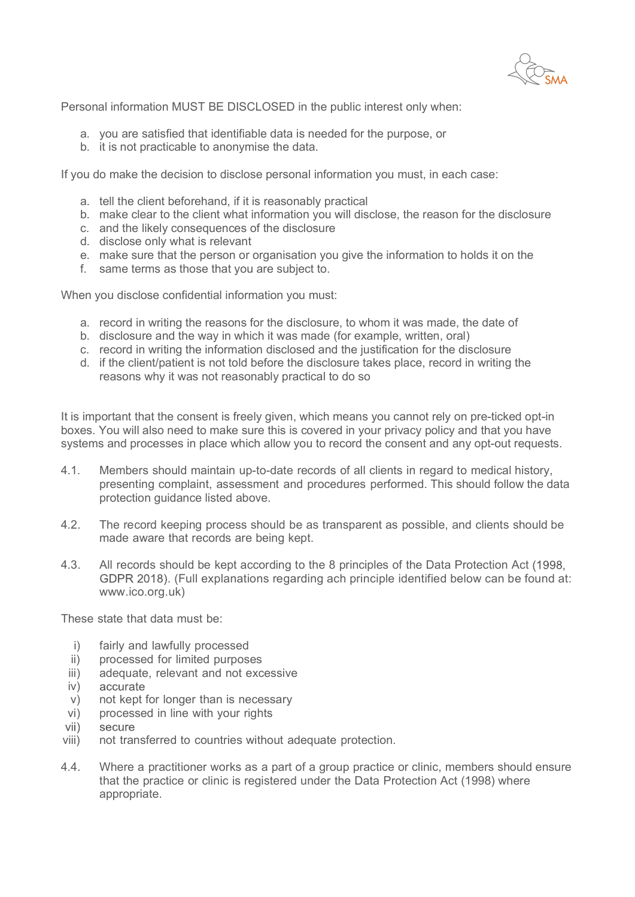Personal information MUST BE DISCLOSED in the public interest only when:

- a. you are satisfied that identifiable data is needed for the purpose, or
- b. it is not practicable to anonymise the data.

If you do make the decision to disclose personal information you must, in each case:

- a. tell the client beforehand, if it is reasonably practical
- b. make clear to the client what information you will disclose, the reason for the disclosure
- c. and the likely consequences of the disclosure
- d. disclose only what is relevant
- e. make sure that the person or organisation you give the information to holds it on the
- f. same terms as those that you are subject to.

When you disclose confidential information you must:

- a. record in writing the reasons for the disclosure, to whom it was made, the date of
- b. disclosure and the way in which it was made (for example, written, oral)
- c. record in writing the information disclosed and the justification for the disclosure
- d. if the client/patient is not told before the disclosure takes place, record in writing the reasons why it was not reasonably practical to do so

It is important that the consent is freely given, which means you cannot rely on pre-ticked opt-in boxes. You will also need to make sure this is covered in your privacy policy and that you have systems and processes in place which allow you to record the consent and any opt-out requests.

- 4.1. Members should maintain up-to-date records of all clients in regard to medical history, presenting complaint, assessment and procedures performed. This should follow the data protection guidance listed above.
- 4.2. The record keeping process should be as transparent as possible, and clients should be made aware that records are being kept.
- 4.3. All records should be kept according to the 8 principles of the Data Protection Act (1998, . (Full explanations regarding ach principle identified below can be found at: www.ico.org.uk)

These state that data must be:

- i) fairly and lawfully processed
- ii) processed for limited purposes
- iii) adequate, relevant and not excessive
- iv) accurate
- v) not kept for longer than is necessary
- vi) processed in line with your rights
- $vii)$ secure
- viii) not transferred to countries without adequate protection.
- 4.4. Where a practitioner works as a part of a group practice or clinic, members should ensure that the practice or clinic is registered under the Data Protection Act (1998) where appropriate.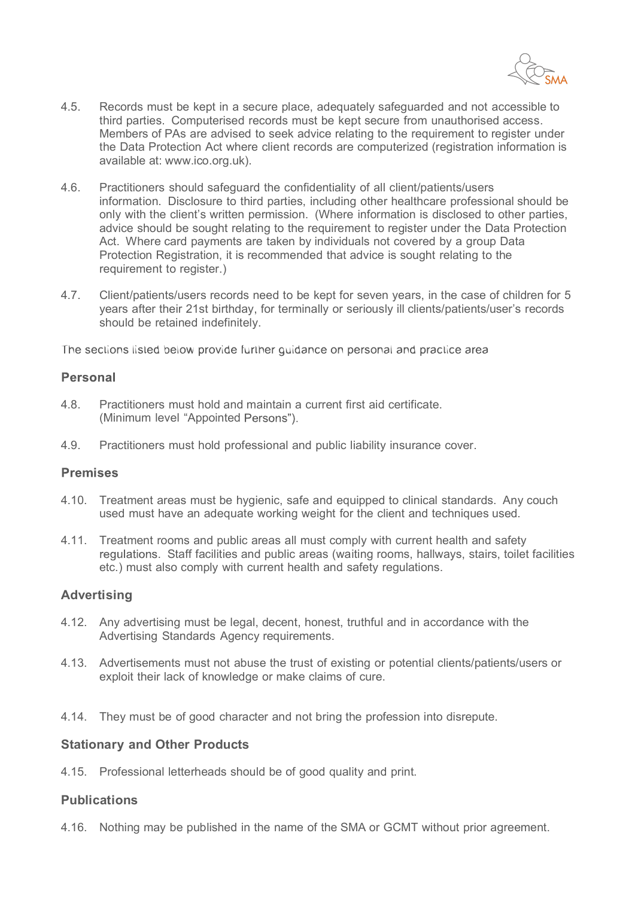

- 4.5. Records must be kept in a secure place, adequately safeguarded and not accessible to third parties. Computerised records must be kept secure from unauthorised access. Members of PAs are advised to seek advice relating to the requirement to register under the Data Protection Act where client records are computerized (registration information is available at: www.ico.org.uk).
- 4.6. Practitioners should safeguard the confidentiality of all client/patients/users information. Disclosure to third parties, including other healthcare professional should be only with the client's written permission. (Where information is disclosed to other parties, advice should be sought relating to the requirement to register under the Data Protection Act. Where card payments are taken by individuals not covered by a group Data Protection Registration, it is recommended that advice is sought relating to the requirement to register.)
- 4.7. Client/patients/users records need to be kept for seven years, in the case of children for 5 years after their 21st birthday, for terminally or seriously ill clients/patients/user's records should be retained indefinitely.

The sections listed below provide further quidance on personal and practice area

#### Personal

- 4.8. Practitioners must hold and maintain a current first aid certificate. (Minimum level "Appointed Persons").
- 4.9. Practitioners must hold professional and public liability insurance cover.

#### **Premises**

- 4.10. Treatment areas must be hygienic, safe and equipped to clinical standards. Any couch used must have an adequate working weight for the client and techniques used.
- 4.11. Treatment rooms and public areas all must comply with current health and safety regulations. Staff facilities and public areas (waiting rooms, hallways, stairs, toilet facilities etc.) must also comply with current health and safety regulations.

#### **Advertising**

- 4.12. Any advertising must be legal, decent, honest, truthful and in accordance with the Advertising Standards Agency requirements.
- 4.13. Advertisements must not abuse the trust of existing or potential clients/patients/users or exploit their lack of knowledge or make claims of cure.
- 4.14. They must be of good character and not bring the profession into disrepute.

#### **Stationary and Other Products**

4.15. Professional letterheads should be of good quality and print.

#### **Publications**

4.16. Nothing may be published in the name of the SMA or GCMT without prior agreement.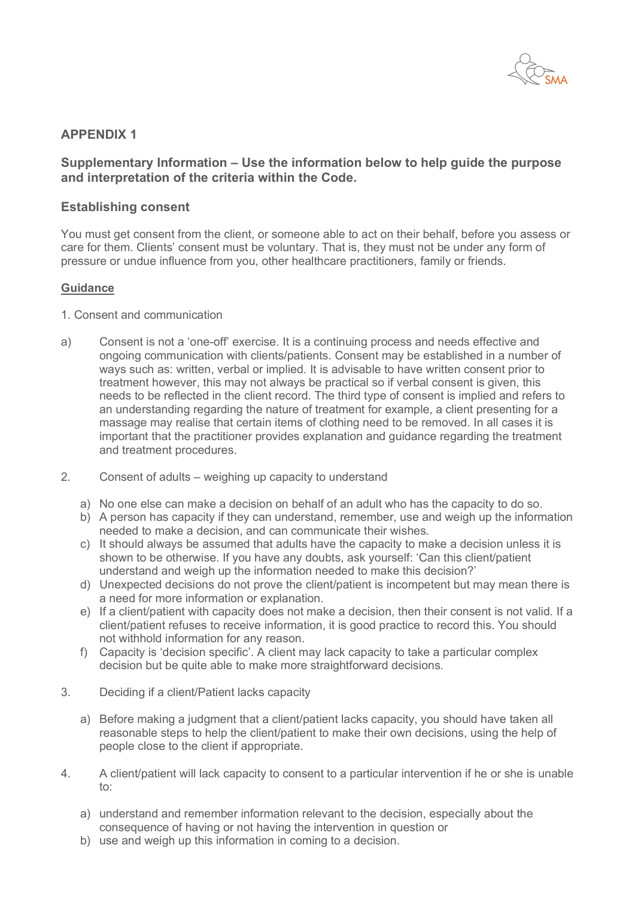

## **APPENDIX 1**

## **Supplementary Information – Use the information below to help guide the purpose and interpretation of the criteria within the Code.**

#### **Establishing consent**

You must get consent from the client, or someone able to act on their behalf, before you assess or care for them. Clients' consent must be voluntary. That is, they must not be under any form of pressure or undue influence from you, other healthcare practitioners, family or friends.

#### **Guidance**

- 1. Consent and communication
- a) Consent is not a 'one-off' exercise. It is a continuing process and needs effective and ongoing communication with clients/patients. Consent may be established in a number of ways such as: written, verbal or implied. It is advisable to have written consent prior to treatment however, this may not always be practical so if verbal consent is given, this needs to be reflected in the client record. The third type of consent is implied and refers to an understanding regarding the nature of treatment for example, a client presenting for a massage may realise that certain items of clothing need to be removed. In all cases it is important that the practitioner provides explanation and guidance regarding the treatment and treatment procedures.
- 2. Consent of adults weighing up capacity to understand
	- a) No one else can make a decision on behalf of an adult who has the capacity to do so.
	- b) A person has capacity if they can understand, remember, use and weigh up the information needed to make a decision, and can communicate their wishes.
	- c) It should always be assumed that adults have the capacity to make a decision unless it is shown to be otherwise. If you have any doubts, ask yourself: 'Can this client/patient understand and weigh up the information needed to make this decision?'
	- d) Unexpected decisions do not prove the client/patient is incompetent but may mean there is a need for more information or explanation.
	- e) If a client/patient with capacity does not make a decision, then their consent is not valid. If a client/patient refuses to receive information, it is good practice to record this. You should not withhold information for any reason.
	- f) Capacity is 'decision specific'. A client may lack capacity to take a particular complex decision but be quite able to make more straightforward decisions.
- 3. Deciding if a client/Patient lacks capacity
	- a) Before making a judgment that a client/patient lacks capacity, you should have taken all reasonable steps to help the client/patient to make their own decisions, using the help of people close to the client if appropriate.
- 4. A client/patient will lack capacity to consent to a particular intervention if he or she is unable to:
	- a) understand and remember information relevant to the decision, especially about the consequence of having or not having the intervention in question or
	- b) use and weigh up this information in coming to a decision.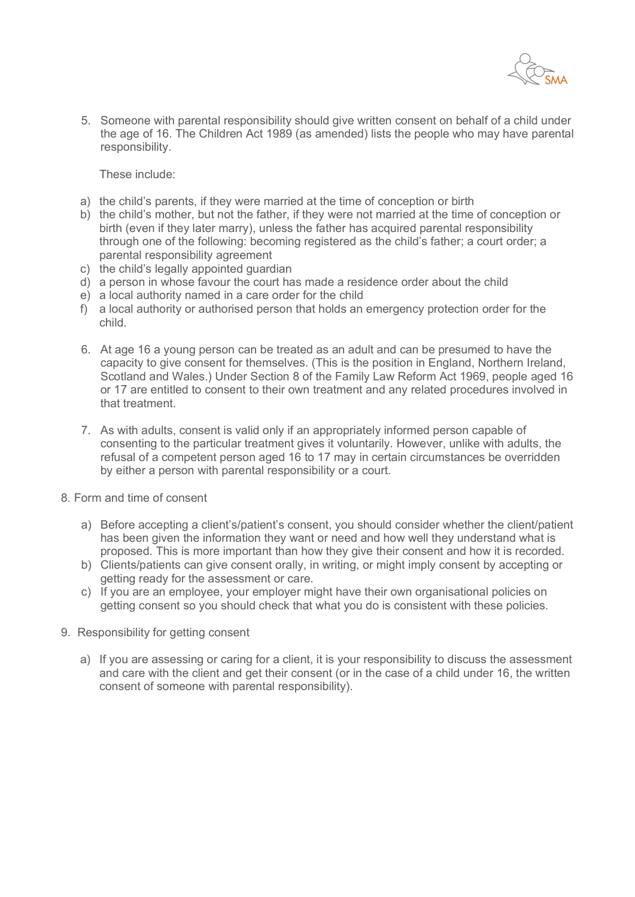

5. Someone with parental responsibility should give written consent on behalf of a child under the age of 16. The Children Act 1989 (as amended) lists the people who may have parental responsibility.

These include:

- a) the child's parents, if they were married at the time of conception or birth
- b) the child's mother, but not the father, if they were not married at the time of conception or birth (even if they later marry), unless the father has acquired parental responsibility through one of the following: becoming registered as the child's father; a court order; a parental responsibility agreement
- c) the child's legally appointed guardian
- d) a person in whose favour the court has made a residence order about the child
- e) a local authority named in a care order for the child
- f) a local authority or authorised person that holds an emergency protection order for the child.
- 6. At age 16 a young person can be treated as an adult and can be presumed to have the capacity to give consent for themselves. (This is the position in England, Northern Ireland, Scotland and Wales.) Under Section 8 of the Family Law Reform Act 1969, people aged 16 or 17 are entitled to consent to their own treatment and any related procedures involved in that treatment.
- 7. As with adults, consent is valid only if an appropriately informed person capable of consenting to the particular treatment gives it voluntarily. However, unlike with adults, the refusal of a competent person aged 16 to 17 may in certain circumstances be overridden by either a person with parental responsibility or a court.
- 8. Form and time of consent
	- a) Before accepting a client's/patient's consent, you should consider whether the client/patient has been given the information they want or need and how well they understand what is proposed. This is more important than how they give their consent and how it is recorded.
	- b) Clients/patients can give consent orally, in writing, or might imply consent by accepting or getting ready for the assessment or care.
	- c) If you are an employee, your employer might have their own organisational policies on getting consent so you should check that what you do is consistent with these policies.
- 9. Responsibility for getting consent
	- a) If you are assessing or caring for a client, it is your responsibility to discuss the assessment and care with the client and get their consent (or in the case of a child under 16, the written consent of someone with parental responsibility).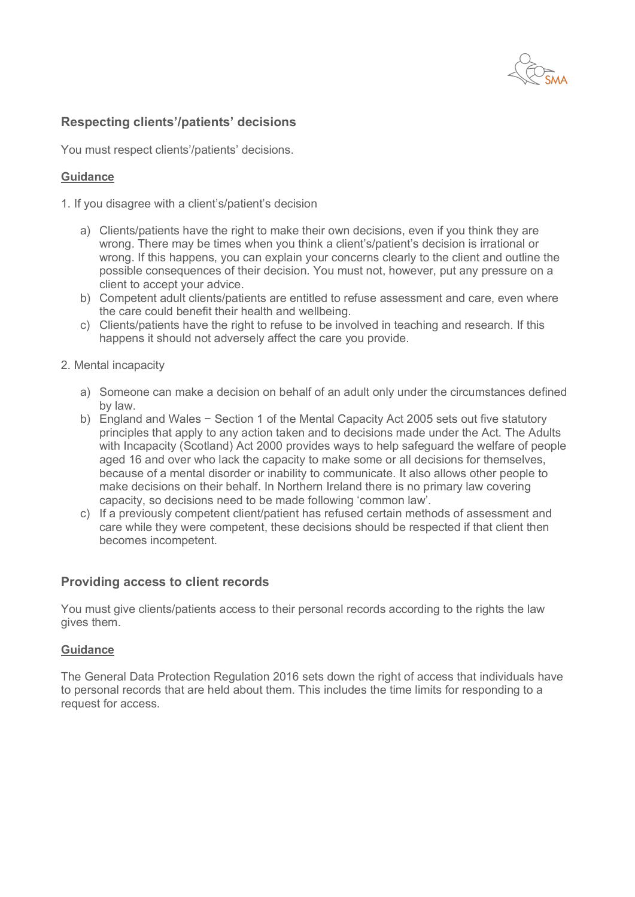

## **Respecting clients'/patients' decisions**

You must respect clients'/patients' decisions.

#### **Guidance**

1. If you disagree with a client's/patient's decision

- a) Clients/patients have the right to make their own decisions, even if you think they are wrong. There may be times when you think a client's/patient's decision is irrational or wrong. If this happens, you can explain your concerns clearly to the client and outline the possible consequences of their decision. You must not, however, put any pressure on a client to accept your advice.
- b) Competent adult clients/patients are entitled to refuse assessment and care, even where the care could benefit their health and wellbeing.
- c) Clients/patients have the right to refuse to be involved in teaching and research. If this happens it should not adversely affect the care you provide.
- 2. Mental incapacity
	- a) Someone can make a decision on behalf of an adult only under the circumstances defined by law.
	- b) England and Wales − Section 1 of the Mental Capacity Act 2005 sets out five statutory principles that apply to any action taken and to decisions made under the Act. The Adults with Incapacity (Scotland) Act 2000 provides ways to help safeguard the welfare of people aged 16 and over who lack the capacity to make some or all decisions for themselves, because of a mental disorder or inability to communicate. It also allows other people to make decisions on their behalf. In Northern Ireland there is no primary law covering capacity, so decisions need to be made following 'common law'.
	- c) If a previously competent client/patient has refused certain methods of assessment and care while they were competent, these decisions should be respected if that client then becomes incompetent.

#### **Providing access to client records**

You must give clients/patients access to their personal records according to the rights the law gives them.

#### **Guidance**

The General Data Protection Regulation 2016 sets down the right of access that individuals have to personal records that are held about them. This includes the time limits for responding to a request for access.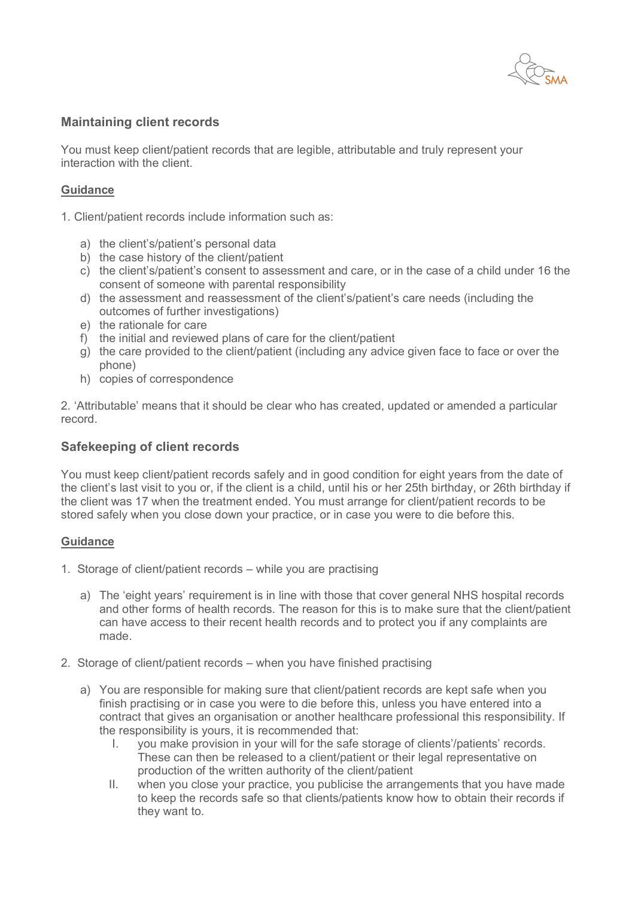

## **Maintaining client records**

You must keep client/patient records that are legible, attributable and truly represent your interaction with the client.

#### **Guidance**

1. Client/patient records include information such as:

- a) the client's/patient's personal data
- b) the case history of the client/patient
- c) the client's/patient's consent to assessment and care, or in the case of a child under 16 the consent of someone with parental responsibility
- d) the assessment and reassessment of the client's/patient's care needs (including the outcomes of further investigations)
- e) the rationale for care
- f) the initial and reviewed plans of care for the client/patient
- g) the care provided to the client/patient (including any advice given face to face or over the phone)
- h) copies of correspondence

2. 'Attributable' means that it should be clear who has created, updated or amended a particular record.

## **Safekeeping of client records**

You must keep client/patient records safely and in good condition for eight years from the date of the client's last visit to you or, if the client is a child, until his or her 25th birthday, or 26th birthday if the client was 17 when the treatment ended. You must arrange for client/patient records to be stored safely when you close down your practice, or in case you were to die before this.

#### **Guidance**

- 1. Storage of client/patient records while you are practising
	- a) The 'eight years' requirement is in line with those that cover general NHS hospital records and other forms of health records. The reason for this is to make sure that the client/patient can have access to their recent health records and to protect you if any complaints are made.
- 2. Storage of client/patient records when you have finished practising
	- a) You are responsible for making sure that client/patient records are kept safe when you finish practising or in case you were to die before this, unless you have entered into a contract that gives an organisation or another healthcare professional this responsibility. If the responsibility is yours, it is recommended that:
		- I. you make provision in your will for the safe storage of clients'/patients' records. These can then be released to a client/patient or their legal representative on production of the written authority of the client/patient
		- II. when you close your practice, you publicise the arrangements that you have made to keep the records safe so that clients/patients know how to obtain their records if they want to.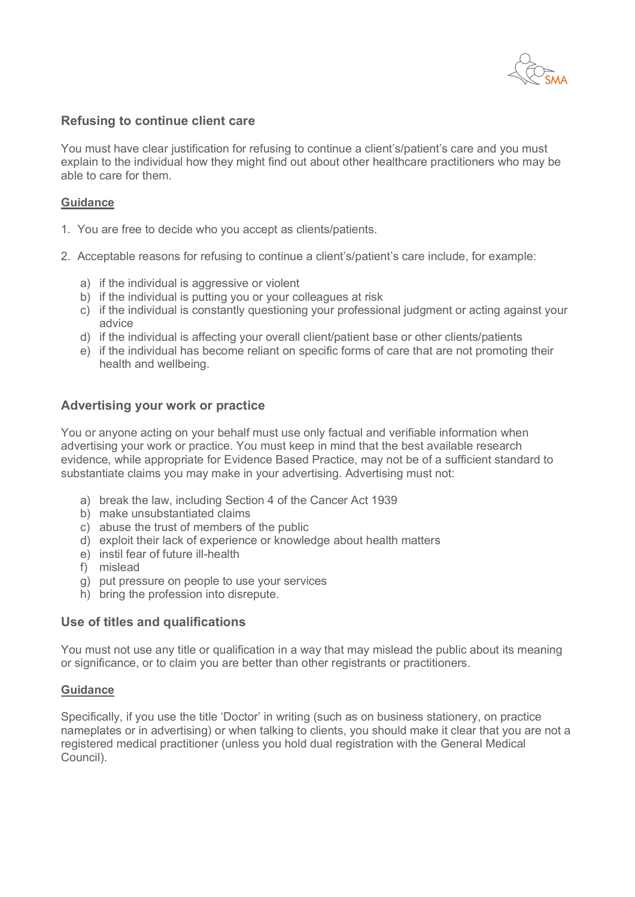

#### **Refusing to continue client care**

You must have clear justification for refusing to continue a client's/patient's care and you must explain to the individual how they might find out about other healthcare practitioners who may be able to care for them.

#### **Guidance**

- 1. You are free to decide who you accept as clients/patients.
- 2. Acceptable reasons for refusing to continue a client's/patient's care include, for example:
	- a) if the individual is aggressive or violent
	- b) if the individual is putting you or your colleagues at risk
	- c) if the individual is constantly questioning your professional judgment or acting against your advice
	- d) if the individual is affecting your overall client/patient base or other clients/patients
	- e) if the individual has become reliant on specific forms of care that are not promoting their health and wellbeing.

#### **Advertising your work or practice**

You or anyone acting on your behalf must use only factual and verifiable information when advertising your work or practice. You must keep in mind that the best available research evidence, while appropriate for Evidence Based Practice, may not be of a sufficient standard to substantiate claims you may make in your advertising. Advertising must not:

- a) break the law, including Section 4 of the Cancer Act 1939
- b) make unsubstantiated claims
- c) abuse the trust of members of the public
- d) exploit their lack of experience or knowledge about health matters
- e) instil fear of future ill-health
- f) mislead
- g) put pressure on people to use your services
- h) bring the profession into disrepute.

#### **Use of titles and qualifications**

You must not use any title or qualification in a way that may mislead the public about its meaning or significance, or to claim you are better than other registrants or practitioners.

#### **Guidance**

Specifically, if you use the title 'Doctor' in writing (such as on business stationery, on practice nameplates or in advertising) or when talking to clients, you should make it clear that you are not a registered medical practitioner (unless you hold dual registration with the General Medical Council).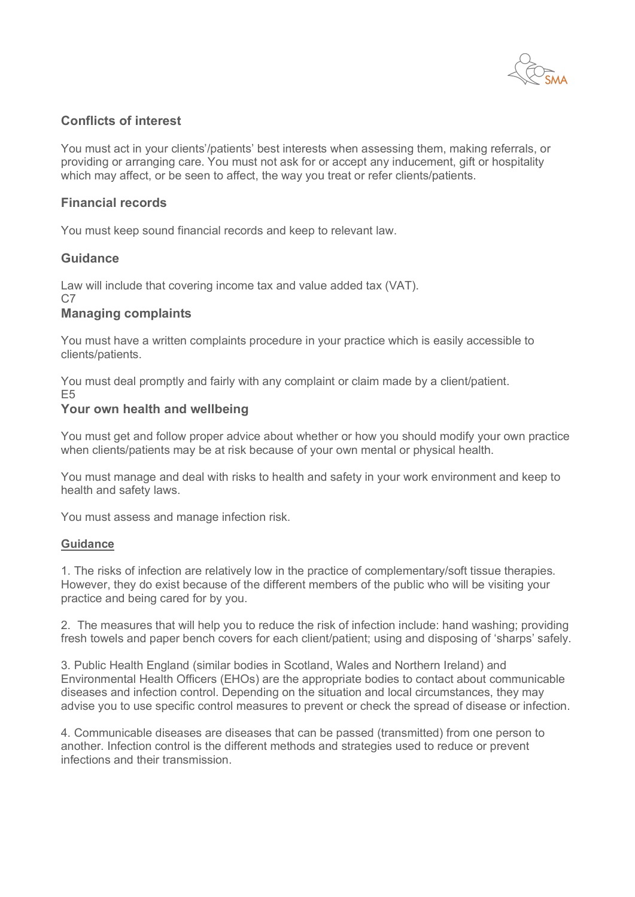

## **Conflicts of interest**

You must act in your clients'/patients' best interests when assessing them, making referrals, or providing or arranging care. You must not ask for or accept any inducement, gift or hospitality which may affect, or be seen to affect, the way you treat or refer clients/patients.

## **Financial records**

You must keep sound financial records and keep to relevant law.

#### **Guidance**

Law will include that covering income tax and value added tax (VAT).  $C<sub>7</sub>$ 

#### **Managing complaints**

You must have a written complaints procedure in your practice which is easily accessible to clients/patients.

You must deal promptly and fairly with any complaint or claim made by a client/patient. E5

#### **Your own health and wellbeing**

You must get and follow proper advice about whether or how you should modify your own practice when clients/patients may be at risk because of your own mental or physical health.

You must manage and deal with risks to health and safety in your work environment and keep to health and safety laws.

You must assess and manage infection risk.

#### **Guidance**

1. The risks of infection are relatively low in the practice of complementary/soft tissue therapies. However, they do exist because of the different members of the public who will be visiting your practice and being cared for by you.

2. The measures that will help you to reduce the risk of infection include: hand washing; providing fresh towels and paper bench covers for each client/patient; using and disposing of 'sharps' safely.

3. Public Health England (similar bodies in Scotland, Wales and Northern Ireland) and Environmental Health Officers (EHOs) are the appropriate bodies to contact about communicable diseases and infection control. Depending on the situation and local circumstances, they may advise you to use specific control measures to prevent or check the spread of disease or infection.

4. Communicable diseases are diseases that can be passed (transmitted) from one person to another. Infection control is the different methods and strategies used to reduce or prevent infections and their transmission.